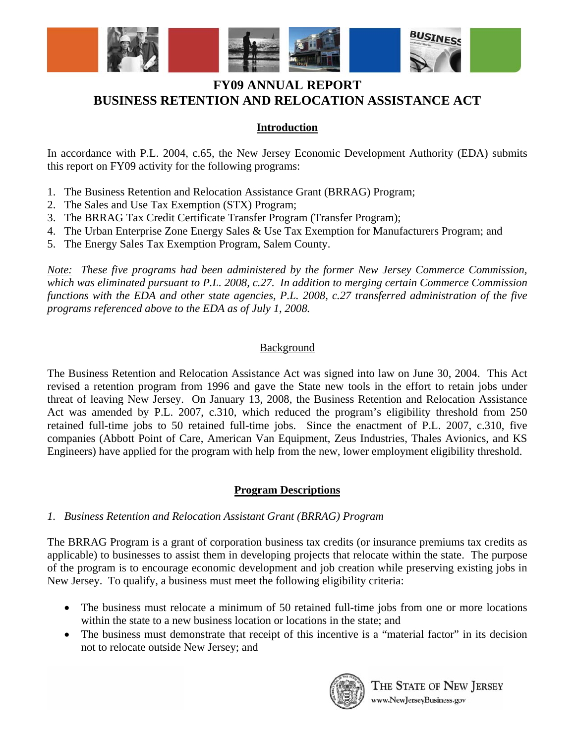

## **Introduction**

In accordance with P.L. 2004, c.65, the New Jersey Economic Development Authority (EDA) submits this report on FY09 activity for the following programs:

- 1. The Business Retention and Relocation Assistance Grant (BRRAG) Program;
- 2. The Sales and Use Tax Exemption (STX) Program;
- 3. The BRRAG Tax Credit Certificate Transfer Program (Transfer Program);
- 4. The Urban Enterprise Zone Energy Sales & Use Tax Exemption for Manufacturers Program; and
- 5. The Energy Sales Tax Exemption Program, Salem County.

*Note: These five programs had been administered by the former New Jersey Commerce Commission, which was eliminated pursuant to P.L. 2008, c.27. In addition to merging certain Commerce Commission functions with the EDA and other state agencies, P.L. 2008, c.27 transferred administration of the five programs referenced above to the EDA as of July 1, 2008.* 

### **Background**

The Business Retention and Relocation Assistance Act was signed into law on June 30, 2004. This Act revised a retention program from 1996 and gave the State new tools in the effort to retain jobs under threat of leaving New Jersey. On January 13, 2008, the Business Retention and Relocation Assistance Act was amended by P.L. 2007, c.310, which reduced the program's eligibility threshold from 250 retained full-time jobs to 50 retained full-time jobs. Since the enactment of P.L. 2007, c.310, five companies (Abbott Point of Care, American Van Equipment, Zeus Industries, Thales Avionics, and KS Engineers) have applied for the program with help from the new, lower employment eligibility threshold.

### **Program Descriptions**

### *1. Business Retention and Relocation Assistant Grant (BRRAG) Program*

The BRRAG Program is a grant of corporation business tax credits (or insurance premiums tax credits as applicable) to businesses to assist them in developing projects that relocate within the state. The purpose of the program is to encourage economic development and job creation while preserving existing jobs in New Jersey. To qualify, a business must meet the following eligibility criteria:

- The business must relocate a minimum of 50 retained full-time jobs from one or more locations within the state to a new business location or locations in the state; and
- The business must demonstrate that receipt of this incentive is a "material factor" in its decision not to relocate outside New Jersey; and



THE STATE OF NEW JERSEY www.NewJerseyBusiness.gov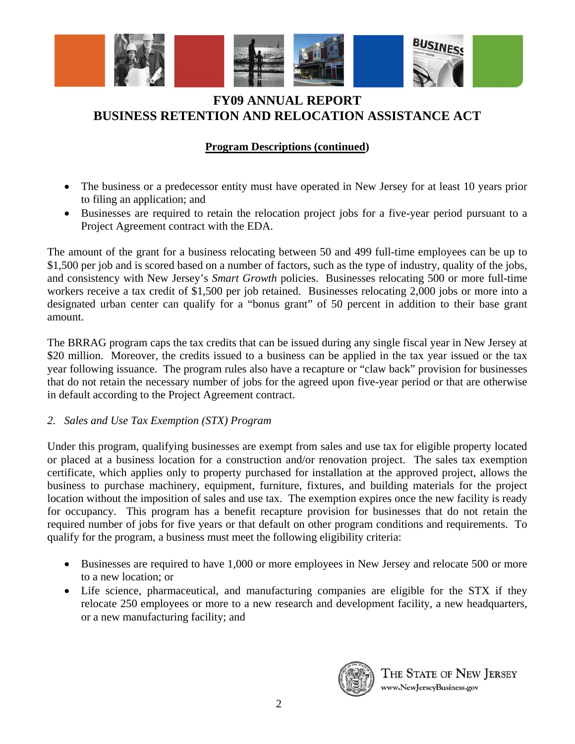

## **Program Descriptions (continued)**

- The business or a predecessor entity must have operated in New Jersey for at least 10 years prior to filing an application; and
- Businesses are required to retain the relocation project jobs for a five-year period pursuant to a Project Agreement contract with the EDA.

The amount of the grant for a business relocating between 50 and 499 full-time employees can be up to \$1,500 per job and is scored based on a number of factors, such as the type of industry, quality of the jobs, and consistency with New Jersey's *Smart Growth* policies. Businesses relocating 500 or more full-time workers receive a tax credit of \$1,500 per job retained. Businesses relocating 2,000 jobs or more into a designated urban center can qualify for a "bonus grant" of 50 percent in addition to their base grant amount.

The BRRAG program caps the tax credits that can be issued during any single fiscal year in New Jersey at \$20 million. Moreover, the credits issued to a business can be applied in the tax year issued or the tax year following issuance. The program rules also have a recapture or "claw back" provision for businesses that do not retain the necessary number of jobs for the agreed upon five-year period or that are otherwise in default according to the Project Agreement contract.

## *2. Sales and Use Tax Exemption (STX) Program*

Under this program, qualifying businesses are exempt from sales and use tax for eligible property located or placed at a business location for a construction and/or renovation project. The sales tax exemption certificate, which applies only to property purchased for installation at the approved project, allows the business to purchase machinery, equipment, furniture, fixtures, and building materials for the project location without the imposition of sales and use tax. The exemption expires once the new facility is ready for occupancy. This program has a benefit recapture provision for businesses that do not retain the required number of jobs for five years or that default on other program conditions and requirements. To qualify for the program, a business must meet the following eligibility criteria:

- Businesses are required to have 1,000 or more employees in New Jersey and relocate 500 or more to a new location; or
- Life science, pharmaceutical, and manufacturing companies are eligible for the STX if they relocate 250 employees or more to a new research and development facility, a new headquarters, or a new manufacturing facility; and



THE STATE OF NEW JERSEY www.NewJerseyBusiness.gov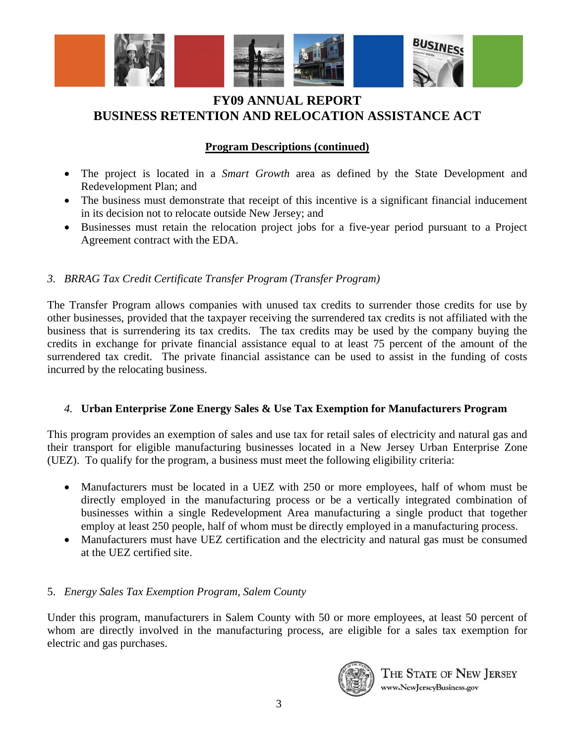

## **Program Descriptions (continued)**

- The project is located in a *Smart Growth* area as defined by the State Development and Redevelopment Plan; and
- The business must demonstrate that receipt of this incentive is a significant financial inducement in its decision not to relocate outside New Jersey; and
- Businesses must retain the relocation project jobs for a five-year period pursuant to a Project Agreement contract with the EDA.

## *3. BRRAG Tax Credit Certificate Transfer Program (Transfer Program)*

The Transfer Program allows companies with unused tax credits to surrender those credits for use by other businesses, provided that the taxpayer receiving the surrendered tax credits is not affiliated with the business that is surrendering its tax credits. The tax credits may be used by the company buying the credits in exchange for private financial assistance equal to at least 75 percent of the amount of the surrendered tax credit. The private financial assistance can be used to assist in the funding of costs incurred by the relocating business.

## *4.* **Urban Enterprise Zone Energy Sales & Use Tax Exemption for Manufacturers Program**

This program provides an exemption of sales and use tax for retail sales of electricity and natural gas and their transport for eligible manufacturing businesses located in a New Jersey Urban Enterprise Zone (UEZ). To qualify for the program, a business must meet the following eligibility criteria:

- Manufacturers must be located in a UEZ with 250 or more employees, half of whom must be directly employed in the manufacturing process or be a vertically integrated combination of businesses within a single Redevelopment Area manufacturing a single product that together employ at least 250 people, half of whom must be directly employed in a manufacturing process.
- Manufacturers must have UEZ certification and the electricity and natural gas must be consumed at the UEZ certified site.

## 5. *Energy Sales Tax Exemption Program, Salem County*

Under this program, manufacturers in Salem County with 50 or more employees, at least 50 percent of whom are directly involved in the manufacturing process, are eligible for a sales tax exemption for electric and gas purchases.



THE STATE OF NEW JERSEY www.NewJerseyBusiness.gov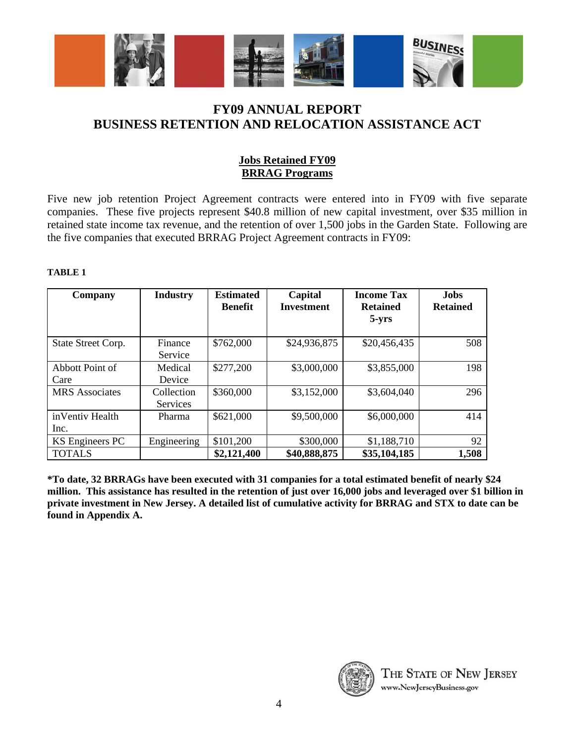

## **Jobs Retained FY09 BRRAG Programs**

Five new job retention Project Agreement contracts were entered into in FY09 with five separate companies. These five projects represent \$40.8 million of new capital investment, over \$35 million in retained state income tax revenue, and the retention of over 1,500 jobs in the Garden State. Following are the five companies that executed BRRAG Project Agreement contracts in FY09:

#### **TABLE 1**

| Company                 | <b>Industry</b>               | <b>Estimated</b><br><b>Benefit</b> | Capital<br><b>Investment</b> | <b>Income Tax</b><br><b>Retained</b><br>$5 - yrs$ | <b>Jobs</b><br><b>Retained</b> |
|-------------------------|-------------------------------|------------------------------------|------------------------------|---------------------------------------------------|--------------------------------|
| State Street Corp.      | Finance<br>Service            | \$762,000                          | \$24,936,875                 | \$20,456,435                                      | 508                            |
| Abbott Point of<br>Care | Medical<br>Device             | \$277,200                          | \$3,000,000                  | \$3,855,000                                       | 198                            |
| <b>MRS</b> Associates   | Collection<br><b>Services</b> | \$360,000                          | \$3,152,000                  | \$3,604,040                                       | 296                            |
| inVentiv Health<br>Inc. | Pharma                        | \$621,000                          | \$9,500,000                  | \$6,000,000                                       | 414                            |
| KS Engineers PC         | Engineering                   | \$101,200                          | \$300,000                    | \$1,188,710                                       | 92                             |
| <b>TOTALS</b>           |                               | \$2,121,400                        | \$40,888,875                 | \$35,104,185                                      | 1,508                          |

**\*To date, 32 BRRAGs have been executed with 31 companies for a total estimated benefit of nearly \$24 million. This assistance has resulted in the retention of just over 16,000 jobs and leveraged over \$1 billion in private investment in New Jersey. A detailed list of cumulative activity for BRRAG and STX to date can be found in Appendix A.** 

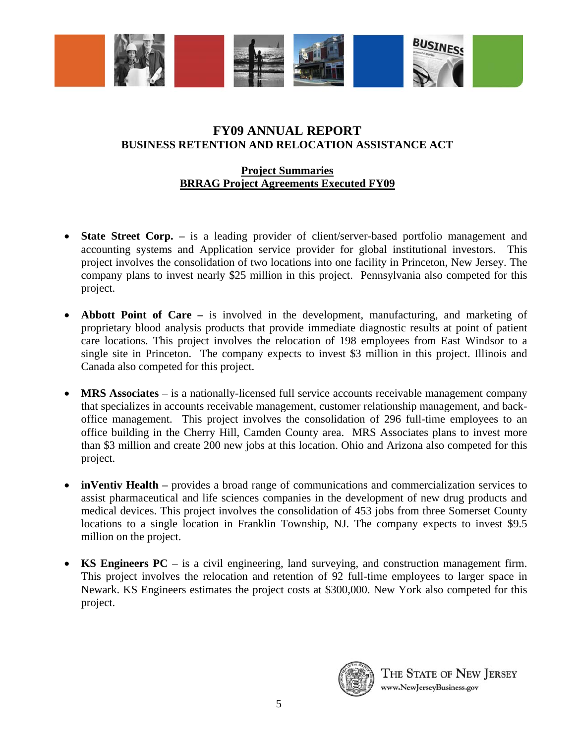

### **Project Summaries BRRAG Project Agreements Executed FY09**

- **State Street Corp.** is a leading provider of client/server-based portfolio management and accounting systems and Application service provider for global institutional investors. This project involves the consolidation of two locations into one facility in Princeton, New Jersey. The company plans to invest nearly \$25 million in this project. Pennsylvania also competed for this project.
- **Abbott Point of Care** is involved in the development, manufacturing, and marketing of proprietary blood analysis products that provide immediate diagnostic results at point of patient care locations. This project involves the relocation of 198 employees from East Windsor to a single site in Princeton. The company expects to invest \$3 million in this project. Illinois and Canada also competed for this project.
- **MRS Associates** is a nationally-licensed full service accounts receivable management company that specializes in accounts receivable management, customer relationship management, and backoffice management. This project involves the consolidation of 296 full-time employees to an office building in the Cherry Hill, Camden County area. MRS Associates plans to invest more than \$3 million and create 200 new jobs at this location. Ohio and Arizona also competed for this project.
- **inVentiv Health** provides a broad range of communications and commercialization services to assist pharmaceutical and life sciences companies in the development of new drug products and medical devices. This project involves the consolidation of 453 jobs from three Somerset County locations to a single location in Franklin Township, NJ. The company expects to invest \$9.5 million on the project.
- **KS Engineers PC** is a civil engineering, land surveying, and construction management firm. This project involves the relocation and retention of 92 full-time employees to larger space in Newark. KS Engineers estimates the project costs at \$300,000. New York also competed for this project.

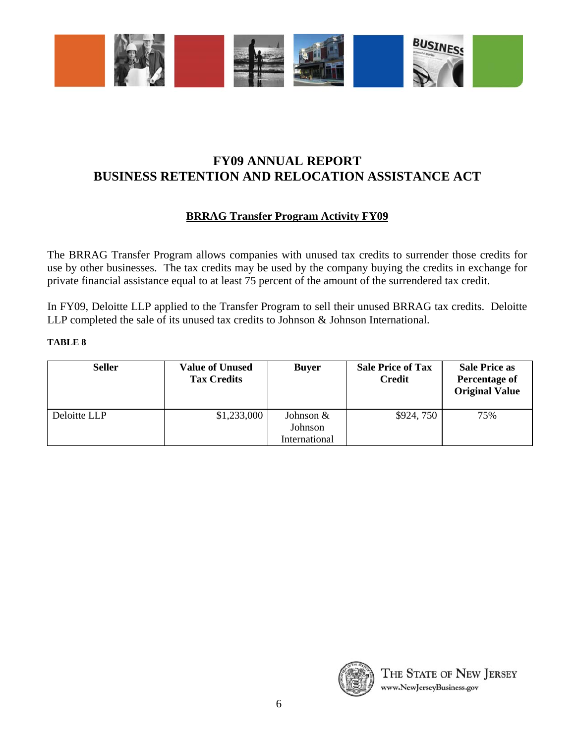

# **BRRAG Transfer Program Activity FY09**

The BRRAG Transfer Program allows companies with unused tax credits to surrender those credits for use by other businesses. The tax credits may be used by the company buying the credits in exchange for private financial assistance equal to at least 75 percent of the amount of the surrendered tax credit.

In FY09, Deloitte LLP applied to the Transfer Program to sell their unused BRRAG tax credits. Deloitte LLP completed the sale of its unused tax credits to Johnson & Johnson International.

### **TABLE 8**

| <b>Seller</b> | <b>Value of Unused</b><br><b>Tax Credits</b> | <b>Buyer</b>                          | <b>Sale Price of Tax</b><br><b>Credit</b> | <b>Sale Price as</b><br>Percentage of<br><b>Original Value</b> |
|---------------|----------------------------------------------|---------------------------------------|-------------------------------------------|----------------------------------------------------------------|
| Deloitte LLP  | \$1,233,000                                  | Johnson &<br>Johnson<br>International | \$924,750                                 | 75%                                                            |

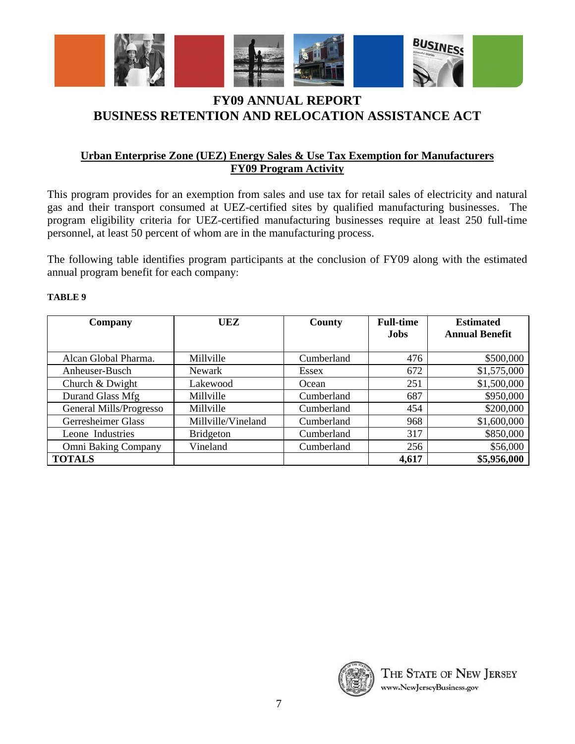

## **Urban Enterprise Zone (UEZ) Energy Sales & Use Tax Exemption for Manufacturers FY09 Program Activity**

This program provides for an exemption from sales and use tax for retail sales of electricity and natural gas and their transport consumed at UEZ-certified sites by qualified manufacturing businesses. The program eligibility criteria for UEZ-certified manufacturing businesses require at least 250 full-time personnel, at least 50 percent of whom are in the manufacturing process.

The following table identifies program participants at the conclusion of FY09 along with the estimated annual program benefit for each company:

### **TABLE 9**

| Company                 | UEZ                | County     | <b>Full-time</b> | <b>Estimated</b><br><b>Annual Benefit</b> |  |  |  |  |
|-------------------------|--------------------|------------|------------------|-------------------------------------------|--|--|--|--|
|                         |                    |            | <b>Jobs</b>      |                                           |  |  |  |  |
| Alcan Global Pharma.    | Millville          | Cumberland | 476              | \$500,000                                 |  |  |  |  |
| Anheuser-Busch          | Newark             | Essex      | 672              | \$1,575,000                               |  |  |  |  |
| Church & Dwight         | Lakewood           | Ocean      | 251              | \$1,500,000                               |  |  |  |  |
| Durand Glass Mfg        | Millville          | Cumberland | 687              | \$950,000                                 |  |  |  |  |
| General Mills/Progresso | Millville          | Cumberland | 454              | \$200,000                                 |  |  |  |  |
| Gerresheimer Glass      | Millville/Vineland | Cumberland | 968              | \$1,600,000                               |  |  |  |  |
| Leone Industries        | <b>Bridgeton</b>   | Cumberland | 317              | \$850,000                                 |  |  |  |  |
| Omni Baking Company     | Vineland           | Cumberland | 256              | \$56,000                                  |  |  |  |  |
| <b>TOTALS</b>           |                    |            | 4,617            | \$5,956,000                               |  |  |  |  |

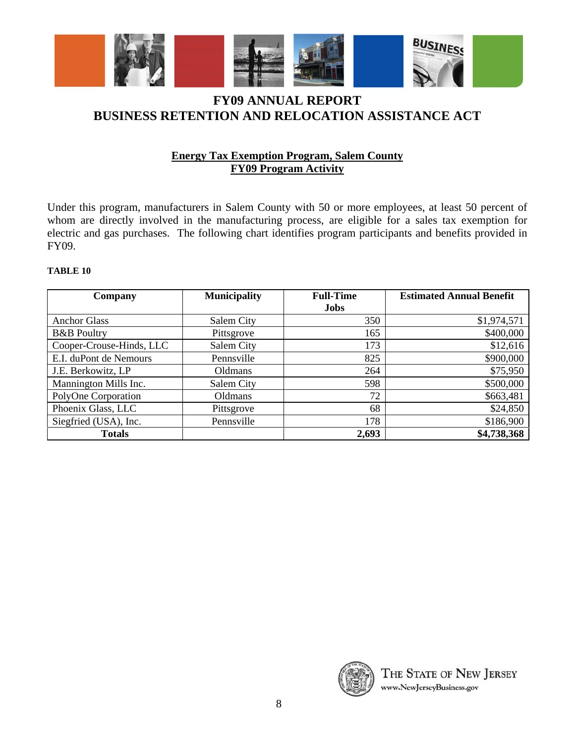

## **Energy Tax Exemption Program, Salem County FY09 Program Activity**

Under this program, manufacturers in Salem County with 50 or more employees, at least 50 percent of whom are directly involved in the manufacturing process, are eligible for a sales tax exemption for electric and gas purchases. The following chart identifies program participants and benefits provided in FY09.

#### **TABLE 10**

| Company                  | <b>Municipality</b> | <b>Full-Time</b> | <b>Estimated Annual Benefit</b> |  |  |  |  |  |
|--------------------------|---------------------|------------------|---------------------------------|--|--|--|--|--|
|                          |                     | <b>Jobs</b>      |                                 |  |  |  |  |  |
| <b>Anchor Glass</b>      | Salem City          | 350              | \$1,974,571                     |  |  |  |  |  |
| <b>B&amp;B</b> Poultry   | Pittsgrove          | 165              | \$400,000                       |  |  |  |  |  |
| Cooper-Crouse-Hinds, LLC | Salem City          | 173              | \$12,616                        |  |  |  |  |  |
| E.I. duPont de Nemours   | Pennsville          | 825              | \$900,000                       |  |  |  |  |  |
| J.E. Berkowitz, LP       | Oldmans             | 264              | \$75,950                        |  |  |  |  |  |
| Mannington Mills Inc.    | Salem City          | 598              | \$500,000                       |  |  |  |  |  |
| PolyOne Corporation      | Oldmans             | 72               | \$663,481                       |  |  |  |  |  |
| Phoenix Glass, LLC       | Pittsgrove          | 68               | \$24,850                        |  |  |  |  |  |
| Siegfried (USA), Inc.    | Pennsville          | 178              | \$186,900                       |  |  |  |  |  |
| <b>Totals</b>            |                     | 2,693            | \$4,738,368                     |  |  |  |  |  |

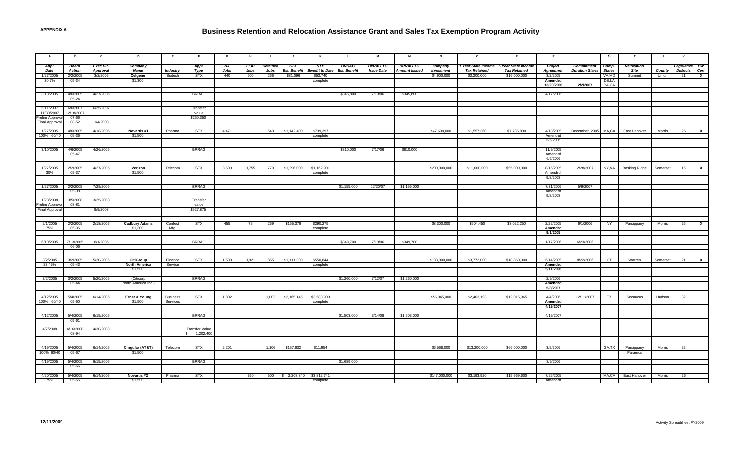### **Business Retention and Relocation Assistance Grant and Sales Tax Exemption Program Activity**

| $\overline{A}$ | в                 | $\mathbf{c}$       | D                    | E               | F.                    | G     | н.          |                 |                               |                        |              | M                 | M                    | $\mathsf{N}$      | $\circ$             |                                         | R                    |                               | <b>S</b> | T                                 | U        | $\mathsf{v}$                 |              |
|----------------|-------------------|--------------------|----------------------|-----------------|-----------------------|-------|-------------|-----------------|-------------------------------|------------------------|--------------|-------------------|----------------------|-------------------|---------------------|-----------------------------------------|----------------------|-------------------------------|----------|-----------------------------------|----------|------------------------------|--------------|
| Appl           | <b>Board</b>      | Exec Dir.          | Company              |                 | Appl                  | NJ    | <b>BEIP</b> | <b>Retained</b> | STX                           | <b>STX</b>             | <b>BRRAG</b> | <b>BRRAG TC</b>   | <b>BRRAG TC</b>      | Company           |                     | 1 Year State Income 5 Year State Income | Project              | Commitment Comp.              |          | Relocation                        |          | Legislative PW               |              |
| Date           | <b>Action</b>     | <b>Approval</b>    | Name                 | <b>Industry</b> | Type                  | Jobs  | Jobs        | Jobs            | <b>Est. Benefit</b>           | <b>Benefit to Date</b> | Est. Benefit | <b>Issue Date</b> | <b>Amount Issued</b> | <b>Investment</b> | <b>Tax Retained</b> | <b>Tax Retained</b>                     | <b>Agreement</b>     | <b>Duration Starts</b> States |          | Site                              |          | <b>County Districts Cert</b> |              |
| 1/27/2005      | 2/2/2005          | 3/2/2005           | Celgene              | Biotech         | STX                   | 440   | 600         | 266             | \$81,096                      | \$53,740               |              |                   |                      | \$4,900,000       | \$3,200,000         | \$16,000,000                            | 3/2/2005             |                               | VA,MD    | Summit                            | Union    | 21                           | $\mathbf{x}$ |
| 30.7%          | 05-34             |                    | \$1,300              |                 |                       |       |             |                 |                               | complete               |              |                   |                      |                   |                     |                                         | Amended              |                               | DE,LA    |                                   |          |                              |              |
|                |                   |                    |                      |                 |                       |       |             |                 |                               |                        |              |                   |                      |                   |                     |                                         | 12/20/2006           | 2/2/2007                      | PA,CA    |                                   |          |                              |              |
|                | 4/6/2005          |                    |                      |                 | <b>BRRAG</b>          |       |             |                 |                               |                        |              |                   |                      |                   |                     |                                         |                      |                               |          |                                   |          |                              |              |
| 3/18/2005      | 05-24             | 4/27/2005          |                      |                 |                       |       |             |                 |                               |                        | \$345,800    | 7/10/06           | \$345,800            |                   |                     |                                         | 4/17/2006            |                               |          |                                   |          |                              |              |
|                |                   |                    |                      |                 |                       |       |             |                 |                               |                        |              |                   |                      |                   |                     |                                         |                      |                               |          |                                   |          |                              |              |
| 5/11/2007      | 6/6/2007          | 6/25/2007          |                      |                 | Transfer              |       |             |                 |                               |                        |              |                   |                      |                   |                     |                                         |                      |                               |          |                                   |          |                              |              |
| 11/30/2007     | 12/18/2007        |                    |                      |                 | value                 |       |             |                 |                               |                        |              |                   |                      |                   |                     |                                         |                      |                               |          |                                   |          |                              |              |
| relim Approval | 07-66             |                    |                      |                 | \$260,350             |       |             |                 |                               |                        |              |                   |                      |                   |                     |                                         |                      |                               |          |                                   |          |                              |              |
| Final Approval | 08-52             | 1/4/2008           |                      |                 |                       |       |             |                 |                               |                        |              |                   |                      |                   |                     |                                         |                      |                               |          |                                   |          |                              |              |
| 1/27/2005      | 4/6/2005          | 4/18/2005          | Novartis #1          | Pharma          | <b>STX</b>            | 4,471 |             | 540             | \$1,142,400                   | \$739,397              |              |                   |                      | \$47,600,000      | \$1,557,360         | \$7,786,800                             | 4/18/2005            |                               |          | December, 2005 MA,CA East Hanover | Morris   | $26 \times X$                |              |
| 100% 60/40     | 05-36             |                    | \$1,500              |                 |                       |       |             |                 |                               | complete               |              |                   |                      |                   |                     |                                         | Amended              |                               |          |                                   |          |                              |              |
|                |                   |                    |                      |                 |                       |       |             |                 |                               |                        |              |                   |                      |                   |                     |                                         | 6/6/2006             |                               |          |                                   |          |                              |              |
|                |                   |                    |                      |                 |                       |       |             |                 |                               |                        |              |                   |                      |                   |                     |                                         |                      |                               |          |                                   |          |                              |              |
| 3/10/2005      | 4/6/2005          | 4/26/2005          |                      |                 | <b>BRRAG</b>          |       |             |                 |                               |                        | \$810,000    | 7/17/06           | \$810,000            |                   |                     |                                         | 11/9/2005            |                               |          |                                   |          |                              |              |
|                | $05 - 47$         |                    |                      |                 |                       |       |             |                 |                               |                        |              |                   |                      |                   |                     |                                         | Amended              |                               |          |                                   |          |                              |              |
|                |                   |                    |                      |                 |                       |       |             |                 |                               |                        |              |                   |                      |                   |                     |                                         | 6/6/2006             |                               |          |                                   |          |                              |              |
| 1/27/2005      | 2/2/2005          | 4/27/2005          | Verizon              | Telecom         | <b>STX</b>            | 3,600 | 1,755       | 770             | \$1,296,000 \$1,162,901       |                        |              |                   |                      | \$200,000,000     | \$11,000,000        | \$55,000,000                            | 8/15/2005            | 2/28/2007                     |          | NY, VA Basking Ridge              | Somerset | 16                           | $\mathbf{x}$ |
| 30%            | 05-37             |                    | \$1,500              |                 |                       |       |             |                 |                               | complete               |              |                   |                      |                   |                     |                                         | Amended              |                               |          |                                   |          |                              |              |
|                |                   |                    |                      |                 |                       |       |             |                 |                               |                        |              |                   |                      |                   |                     |                                         | 9/8/2008             |                               |          |                                   |          |                              |              |
|                |                   |                    |                      |                 | <b>BRRAG</b>          |       |             |                 |                               |                        |              |                   |                      |                   |                     |                                         |                      |                               |          |                                   |          |                              |              |
| 1/27/2005      | 2/2/2005<br>05-38 | 7/28/2006          |                      |                 |                       |       |             |                 |                               |                        | \$1,155,000  | 12/20/07          | \$1,155,000          |                   |                     |                                         | 7/31/2006<br>Amended | 5/9/2007                      |          |                                   |          |                              |              |
|                |                   |                    |                      |                 |                       |       |             |                 |                               |                        |              |                   |                      |                   |                     |                                         | 9/8/2008             |                               |          |                                   |          |                              |              |
| 1/23/2008      | 3/5/2008          | 3/25/2008          |                      |                 | Transfer              |       |             |                 |                               |                        |              |                   |                      |                   |                     |                                         |                      |                               |          |                                   |          |                              |              |
| relim Approval | 08-81             |                    |                      |                 | value                 |       |             |                 |                               |                        |              |                   |                      |                   |                     |                                         |                      |                               |          |                                   |          |                              |              |
| Final Approval |                   | 9/9/2008           |                      |                 | \$927,875             |       |             |                 |                               |                        |              |                   |                      |                   |                     |                                         |                      |                               |          |                                   |          |                              |              |
|                |                   |                    |                      |                 |                       |       |             |                 |                               |                        |              |                   |                      |                   |                     |                                         |                      |                               |          |                                   |          |                              |              |
| 2/1/2005       | 2/2/2005          | 2/18/2005          | <b>Cadbury Adams</b> | Confect         | <b>STX</b>            | 455   | 75          | 269             | \$155,376                     | \$290,275              |              |                   |                      | \$8,300,000       | \$604.450           | \$3.022,250                             | 2/22/2005            | 6/1/2006                      | NY       | Parsippany                        | Morris   | 26                           | $\mathbf{x}$ |
| 75%            | $05 - 35$         |                    | \$1,300              | Mfg.            |                       |       |             |                 |                               | complete               |              |                   |                      |                   |                     |                                         | Amended              |                               |          |                                   |          |                              |              |
|                |                   |                    |                      |                 |                       |       |             |                 |                               |                        |              |                   |                      |                   |                     |                                         | 9/1/2005             |                               |          |                                   |          |                              |              |
|                |                   |                    |                      |                 |                       |       |             |                 |                               |                        |              |                   |                      |                   |                     |                                         |                      |                               |          |                                   |          |                              |              |
| 6/10/2005      | 7/13/2005         | 8/1/2005           |                      |                 | <b>BRRAG</b>          |       |             |                 |                               |                        | \$349,700    | 7/10/06           | \$349,700            |                   |                     |                                         | 1/17/2006            | 6/23/2006                     |          |                                   |          |                              |              |
|                | 06-06             |                    |                      |                 |                       |       |             |                 |                               |                        |              |                   |                      |                   |                     |                                         |                      |                               |          |                                   |          |                              |              |
|                |                   |                    |                      |                 |                       |       |             |                 |                               |                        |              |                   |                      |                   |                     |                                         |                      |                               |          |                                   |          |                              |              |
| 3/2/2005       | 3/2/2005          | 5/20/2005          | <b>CitiGroup</b>     | Finance         | <b>STX</b>            | 1,500 | 1,921       |                 | 855 \$1,111,300               | \$550,844              |              |                   |                      | \$133,000,000     | \$3,772,000         | \$18,860,000                            | 6/14/2005            | 8/22/2006                     | CT       | Warren                            | Somerset | $21$ X                       |              |
| 28.45%         | 05-43             |                    | North America        | Service         |                       |       |             |                 |                               | complete               |              |                   |                      |                   |                     |                                         | Amended              |                               |          |                                   |          |                              |              |
|                |                   |                    | \$1,500              |                 |                       |       |             |                 |                               |                        |              |                   |                      |                   |                     |                                         | 5/11/2006            |                               |          |                                   |          |                              |              |
|                |                   |                    |                      |                 |                       |       |             |                 |                               |                        |              |                   |                      |                   |                     |                                         |                      |                               |          |                                   |          |                              |              |
| 3/2/2005       | 3/2/2005          | 5/20/2005          | (Citicorp            |                 | <b>BRRAG</b>          |       |             |                 |                               |                        | \$1,260,000  | 7/12/07           | \$1,260,000          |                   |                     |                                         | 2/9/2006             |                               |          |                                   |          |                              |              |
|                | 05-44             |                    | North America Inc.)  |                 |                       |       |             |                 |                               |                        |              |                   |                      |                   |                     |                                         | Amended<br>5/8/2007  |                               |          |                                   |          |                              |              |
|                |                   |                    |                      |                 |                       |       |             |                 |                               |                        |              |                   |                      |                   |                     |                                         |                      |                               |          |                                   |          |                              |              |
| 4/12/2005      | 5/4/2005          | 6/14/2005          | Ernst & Young        | <b>Business</b> | <b>STX</b>            | 1,802 |             |                 | 1,002 \$2,165,145 \$3,583,900 |                        |              |                   |                      | \$56,045,000      | \$2,403,193         | \$12,015,965                            | 4/4/2006             | 12/11/2007                    | TX       | Secaucus                          | Hudson   | 32                           |              |
| 100% 60/40     | 05-60             |                    | \$1,500              | Services        |                       |       |             |                 |                               | complete               |              |                   |                      |                   |                     |                                         | Amended              |                               |          |                                   |          |                              |              |
|                |                   |                    |                      |                 |                       |       |             |                 |                               |                        |              |                   |                      |                   |                     |                                         | 4/19/2007            |                               |          |                                   |          |                              |              |
| 4/12/2005      |                   | 5/4/2005 6/15/2005 |                      |                 | <b>BRRAG</b>          |       |             |                 |                               |                        | \$1,503,000  | 3/14/08           | \$1,503,000          |                   |                     |                                         | 4/19/2007            |                               |          |                                   |          |                              |              |
|                | $05 - 61$         |                    |                      |                 |                       |       |             |                 |                               |                        |              |                   |                      |                   |                     |                                         |                      |                               |          |                                   |          |                              |              |
|                |                   |                    |                      |                 |                       |       |             |                 |                               |                        |              |                   |                      |                   |                     |                                         |                      |                               |          |                                   |          |                              |              |
| 4/7/2008       | 4/16/2008         | 4/30/2008          |                      |                 | <b>Transfer Value</b> |       |             |                 |                               |                        |              |                   |                      |                   |                     |                                         |                      |                               |          |                                   |          |                              |              |
|                | 08-94             |                    |                      |                 | \$ 1,202,400          |       |             |                 |                               |                        |              |                   |                      |                   |                     |                                         |                      |                               |          |                                   |          |                              |              |
|                |                   |                    |                      |                 |                       |       |             |                 |                               |                        |              |                   |                      |                   |                     |                                         |                      |                               |          |                                   |          |                              |              |
| 4/19/2005      | 5/4/2005          | 6/14/2005          | Cingular (AT&T)      | Telecom         | <b>STX</b>            | 2,201 |             | 1,106           | \$157,632                     | \$11,954               |              |                   |                      | \$6,568,000       | \$13,200,000        | \$66,000,000                            | 3/9/2006             |                               | GA, TX   | Parsippany                        | Morris   | 26                           |              |
| 100% 60/40     | 05-67             |                    | \$1,500              |                 |                       |       |             |                 |                               |                        |              |                   |                      |                   |                     |                                         |                      |                               |          | Paramus                           |          |                              |              |
|                |                   |                    |                      |                 |                       |       |             |                 |                               |                        |              |                   |                      |                   |                     |                                         |                      |                               |          |                                   |          |                              |              |
| 4/19/2005      | 5/4/2005          | 6/15/2005          |                      |                 | <b>BRRAG</b>          |       |             |                 |                               |                        | \$1,689,000  |                   |                      |                   |                     |                                         | 3/9/2006             |                               |          |                                   |          |                              |              |
|                | 05-66             |                    |                      |                 |                       |       |             |                 |                               |                        |              |                   |                      |                   |                     |                                         |                      |                               |          |                                   |          |                              |              |
| 4/20/2005      | 5/4/2005          | 6/14/2005          | Novartis #2          | Pharma          | <b>STX</b>            |       | 250         |                 | 500 \$ 2,208,840 \$3,812,741  |                        |              |                   |                      | \$147,000,000     | \$3,193,920         | \$15,969,600                            | 7/26/2005            |                               |          | MA,CA East Hanover                | Morris   | 26                           |              |
| 75%            | 05-65             |                    | \$1,500              |                 |                       |       |             |                 |                               | complete               |              |                   |                      |                   |                     |                                         | Amended              |                               |          |                                   |          |                              |              |
|                |                   |                    |                      |                 |                       |       |             |                 |                               |                        |              |                   |                      |                   |                     |                                         |                      |                               |          |                                   |          |                              |              |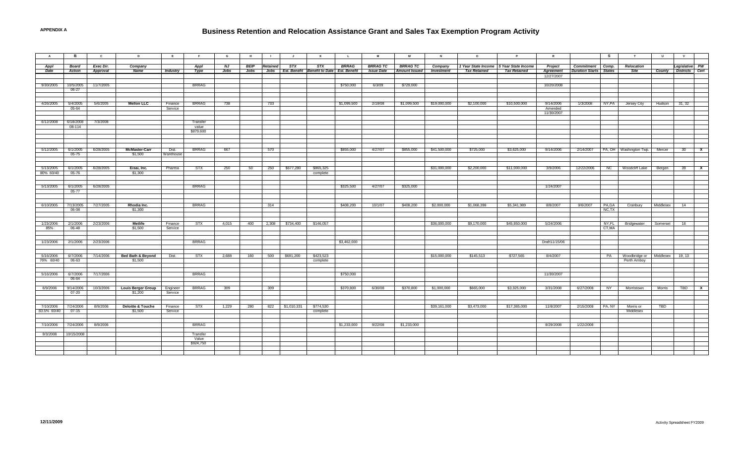| A                        | в                    | $\mathbf{c}$ | D                                       | E                  | F                  | G     | н           | $\blacksquare$ | $\mathsf{J}$ | к                                              |              | M                 | M                    | $\,$ N       | $\circ$                                 | $\mathbf{P}$        | R                       |                               | s              | T                                       | $\cup$        | $\mathbf{V}$                 |              |
|--------------------------|----------------------|--------------|-----------------------------------------|--------------------|--------------------|-------|-------------|----------------|--------------|------------------------------------------------|--------------|-------------------|----------------------|--------------|-----------------------------------------|---------------------|-------------------------|-------------------------------|----------------|-----------------------------------------|---------------|------------------------------|--------------|
| Appl                     | <b>Board</b>         | Exec Dir.    | Company                                 |                    | <b>Appl</b>        | NJ    | <b>BEIP</b> | Retained       | STX          | <b>STX</b>                                     | <b>BRRAG</b> | <b>BRRAG TC</b>   | <b>BRRAG TC</b>      | Company      | 1 Year State Income 5 Year State Income |                     | Project                 | Commitment Comp.              |                | Relocation                              |               | Legislative PW               |              |
| Date                     | <b>Action</b>        | Approval     | Name                                    | <b>Industry</b>    | Type               | Jobs  | Jobs        |                |              | Jobs Est. Benefit Benefit to Date Est. Benefit |              | <b>Issue Date</b> | <b>Amount Issued</b> | Investment   | <b>Tax Retained</b>                     | <b>Tax Retained</b> | Agreement<br>12/27/2007 | <b>Duration Starts</b> States |                | <b>Site</b>                             |               | <b>County Districts Cert</b> |              |
|                          |                      |              |                                         |                    |                    |       |             |                |              |                                                |              |                   |                      |              |                                         |                     |                         |                               |                |                                         |               |                              |              |
| 9/30/2005                | 10/5/2005<br>06-27   | 11/7/2005    |                                         |                    | <b>BRRAG</b>       |       |             |                |              |                                                | \$750,000    | 6/3/09            | \$729,000            |              |                                         |                     | 10/20/2008              |                               |                |                                         |               |                              |              |
|                          |                      |              |                                         |                    |                    |       |             |                |              |                                                |              |                   |                      |              |                                         |                     |                         |                               |                |                                         |               |                              |              |
| 4/26/2005                | 5/4/2005             | 5/6/2005     | <b>Mellon LLC</b>                       | Finance            | <b>BRRAG</b>       | 738   |             | 733            |              |                                                | \$1,099,500  | 2/19/08           | \$1,099,500          | \$19,000,000 | \$2,100,000                             | \$10,500,000        | 9/14/2006               | 1/3/2008                      | NY,PA          | Jersey City                             | Hudson 31, 32 |                              |              |
|                          | 05-64                |              |                                         | Service            |                    |       |             |                |              |                                                |              |                   |                      |              |                                         |                     | Amended                 |                               |                |                                         |               |                              |              |
|                          |                      |              |                                         |                    |                    |       |             |                |              |                                                |              |                   |                      |              |                                         |                     | 11/30/2007              |                               |                |                                         |               |                              |              |
| 6/12/2008                | 6/18/2008            | 7/3/2008     |                                         |                    | Transfer           |       |             |                |              |                                                |              |                   |                      |              |                                         |                     |                         |                               |                |                                         |               |                              |              |
|                          | 08-114               |              |                                         |                    | value<br>\$879,600 |       |             |                |              |                                                |              |                   |                      |              |                                         |                     |                         |                               |                |                                         |               |                              |              |
|                          |                      |              |                                         |                    |                    |       |             |                |              |                                                |              |                   |                      |              |                                         |                     |                         |                               |                |                                         |               |                              |              |
|                          |                      |              |                                         |                    |                    |       |             |                |              |                                                |              |                   |                      |              |                                         |                     |                         |                               |                |                                         |               |                              |              |
| 5/12/2005                | 6/1/2005             | 6/28/2005    | <b>McMaster-Carr</b>                    | Dist.              | <b>BRRAG</b>       | 667   |             | 570            |              |                                                | \$855,000    | 4/27/07           | \$855,000            | \$41,500,000 | \$725,000                               | \$3,625,000         | 9/14/2006               | 2/14/2007                     |                | PA, OH   Washington Twp.                | Mercer        | 30 <sup>7</sup>              | $\mathbf{x}$ |
|                          | 05-75                |              | \$1,500                                 | Warehouse          |                    |       |             |                |              |                                                |              |                   |                      |              |                                         |                     |                         |                               |                |                                         |               |                              |              |
|                          |                      |              |                                         |                    |                    |       |             |                |              |                                                |              |                   |                      |              |                                         |                     |                         |                               |                |                                         |               |                              |              |
| 5/13/2005<br>80% 60/40   | 6/1/2005<br>05-76    | 6/28/2005    | Eisai. Inc.<br>\$1,300                  | Pharma             | <b>STX</b>         | 250   | 50          | 250            | \$677,280    | \$865,325<br>complete                          |              |                   |                      | \$31,000,000 | \$2,200,000                             | \$11,000,000        | 3/9/2006                | 12/22/2006                    |                | NC   Woodcliff Lake                     | Bergen        | 39                           | $\mathbf{x}$ |
|                          |                      |              |                                         |                    |                    |       |             |                |              |                                                |              |                   |                      |              |                                         |                     |                         |                               |                |                                         |               |                              |              |
| 5/13/2005                | 6/1/2005             | 6/28/2005    |                                         |                    | <b>BRRAG</b>       |       |             |                |              |                                                | \$325,500    | 4/27/07           | \$325,000            |              |                                         |                     | 1/24/2007               |                               |                |                                         |               |                              |              |
|                          | $05 - 77$            |              |                                         |                    |                    |       |             |                |              |                                                |              |                   |                      |              |                                         |                     |                         |                               |                |                                         |               |                              |              |
|                          |                      |              |                                         |                    |                    |       |             |                |              |                                                |              |                   |                      |              |                                         |                     |                         |                               |                |                                         |               |                              |              |
| 6/10/2005                | 7/13/2005            | 7/27/2005    | Rhodia Inc.                             |                    | <b>BRRAG</b>       |       |             | 314            |              |                                                | \$408,200    | 10/1/07           | \$408,200            | \$2,000,000  | \$1,068,398                             | \$5,341,989         | 8/8/2007                | 9/6/2007                      | PA,GA          | Cranbury                                | Middlesex     | 14                           |              |
|                          | 06-08                |              | \$1,300                                 |                    |                    |       |             |                |              |                                                |              |                   |                      |              |                                         |                     |                         |                               | NC,TX          |                                         |               |                              |              |
|                          |                      |              |                                         |                    |                    |       |             |                |              |                                                |              |                   |                      |              |                                         |                     |                         |                               |                |                                         |               |                              |              |
| 1/23/2006<br>85%         | 2/1/2006<br>06-48    | 2/23/2006    | Metlife<br>\$1,500                      | Finance<br>Service | <b>STX</b>         | 4,015 | 400         | 2,308          | \$734,400    | \$146,057                                      |              |                   |                      | \$36,000,000 | \$9,170,000                             | \$45,850,000        | 5/24/2006               |                               | NY,FL<br>CT,MA | Bridgewater                             | Somerset      | 16                           |              |
|                          |                      |              |                                         |                    |                    |       |             |                |              |                                                |              |                   |                      |              |                                         |                     |                         |                               |                |                                         |               |                              |              |
| 1/23/2006                | 2/1/2006             | 2/23/2006    |                                         |                    | <b>BRRAG</b>       |       |             |                |              |                                                | \$3,462,000  |                   |                      |              |                                         |                     | Draft11/15/06           |                               |                |                                         |               |                              |              |
|                          |                      |              |                                         |                    |                    |       |             |                |              |                                                |              |                   |                      |              |                                         |                     |                         |                               |                |                                         |               |                              |              |
| 5/16/2006                | 6/7/2006             | 7/14/2006    | <b>Bed Bath &amp; Beyond</b>            | Dist.              | <b>STX</b>         | 2,688 | 160         | 500            | \$691,200    | \$423,523                                      |              |                   |                      | \$15,000,000 | \$145,513                               | \$727,565           | 8/4/2007                |                               |                | PA   Woodbridge or   Middlesex   19, 13 |               |                              |              |
| 76% 60/40                | 06-63                |              | \$1,500                                 |                    |                    |       |             |                |              | complete                                       |              |                   |                      |              |                                         |                     |                         |                               |                | Perth Amboy                             |               |                              |              |
|                          |                      |              |                                         |                    |                    |       |             |                |              |                                                |              |                   |                      |              |                                         |                     |                         |                               |                |                                         |               |                              |              |
| 5/16/2006                | 6/7/2006             | 7/17/2006    |                                         |                    | <b>BRRAG</b>       |       |             |                |              |                                                | \$750,000    |                   |                      |              |                                         |                     | 11/30/2007              |                               |                |                                         |               |                              |              |
|                          | 06-64                |              |                                         |                    |                    |       |             |                |              |                                                |              |                   |                      |              |                                         |                     |                         |                               |                |                                         |               |                              |              |
| 6/9/2006                 | 9/14/2006            | 10/3/2006    | <b>Louis Berger Group</b>               | Engineer           | <b>BRRAG</b>       | 309   |             | 309            |              |                                                | \$370,800    | 6/30/08           | \$370,800            | \$1,000,000  | \$665,000                               | \$3,325,000         | 3/31/2008               | 6/27/2008                     | NY             | Morristown                              | Morris        | <b>TBD</b>                   | $\mathbf{x}$ |
|                          | 07-20                |              | \$1,200                                 | Service            |                    |       |             |                |              |                                                |              |                   |                      |              |                                         |                     |                         |                               |                |                                         |               |                              |              |
|                          |                      |              |                                         |                    |                    |       |             |                |              |                                                |              |                   |                      |              |                                         |                     |                         |                               |                |                                         |               |                              |              |
| 7/10/2006<br>83.5% 60/40 | 7/24/2006<br>$07-15$ | 8/9/2006     | <b>Deloitte &amp; Touche</b><br>\$1,500 | Finance<br>Service | <b>STX</b>         | 1,229 | 280         | 822            | \$1,010,331  | \$774,530<br>complete                          |              |                   |                      | \$39,161,000 | \$3,473,000                             | \$17,365,000        | 11/8/2007               | 2/15/2008                     | PA, NY         | Morris or<br>Middlesex                  | TBD           |                              |              |
|                          |                      |              |                                         |                    |                    |       |             |                |              |                                                |              |                   |                      |              |                                         |                     |                         |                               |                |                                         |               |                              |              |
| 7/10/2006                | 7/24/2006            | 8/9/2006     |                                         |                    | <b>BRRAG</b>       |       |             |                |              |                                                | \$1,233,000  | 9/22/08           | \$1,233,000          |              |                                         |                     | 8/29/2008               | 1/22/2008                     |                |                                         |               |                              |              |
|                          |                      |              |                                         |                    |                    |       |             |                |              |                                                |              |                   |                      |              |                                         |                     |                         |                               |                |                                         |               |                              |              |
| 9/3/2008                 | 10/15/2008           |              |                                         |                    | Transfer<br>Value  |       |             |                |              |                                                |              |                   |                      |              |                                         |                     |                         |                               |                |                                         |               |                              |              |
|                          |                      |              |                                         |                    | \$924,750          |       |             |                |              |                                                |              |                   |                      |              |                                         |                     |                         |                               |                |                                         |               |                              |              |
|                          |                      |              |                                         |                    |                    |       |             |                |              |                                                |              |                   |                      |              |                                         |                     |                         |                               |                |                                         |               |                              |              |
|                          |                      |              |                                         |                    |                    |       |             |                |              |                                                |              |                   |                      |              |                                         |                     |                         |                               |                |                                         |               |                              |              |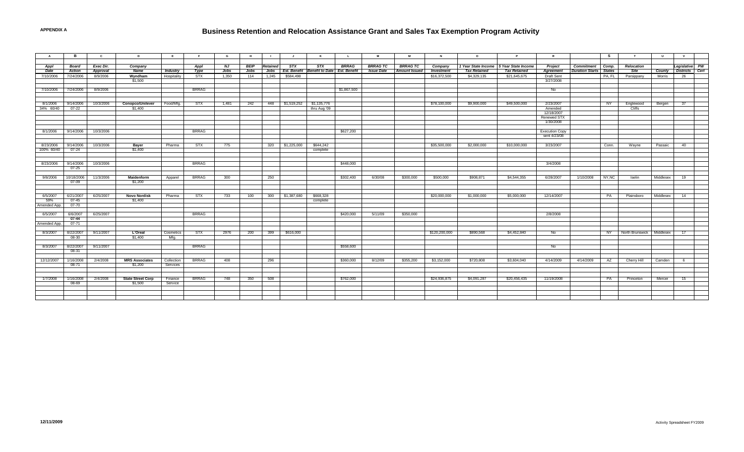### **Business Retention and Relocation Assistance Grant and Sales Tax Exemption Program Activity**

| $\overline{A}$ | в.            | $\mathbf{c}$ | $\mathbf{D}$             | E               | F            | G           | H           | $\blacksquare$  | - 1                 | K                                   | $\mathsf{L}$ | M                 | M                    | N                 | $\circ$                                 | P                   | $\mathbb{R}$          |                               | <b>S</b>  | T                           | $\cup$        | $\mathbf{v}$   |  |
|----------------|---------------|--------------|--------------------------|-----------------|--------------|-------------|-------------|-----------------|---------------------|-------------------------------------|--------------|-------------------|----------------------|-------------------|-----------------------------------------|---------------------|-----------------------|-------------------------------|-----------|-----------------------------|---------------|----------------|--|
|                |               |              |                          |                 |              |             |             |                 |                     |                                     |              |                   |                      |                   |                                         |                     |                       |                               |           |                             |               |                |  |
|                |               |              |                          |                 |              |             |             |                 |                     |                                     |              |                   |                      |                   |                                         |                     |                       |                               |           |                             |               |                |  |
| Appl           | <b>Board</b>  | Exec Dir.    | Company                  |                 | Appl         | NJ          | <b>BEIP</b> | <b>Retained</b> | STX                 | STX                                 | <b>BRRAG</b> | <b>BRRAG TC</b>   | <b>BRRAG TC</b>      | Company           | 1 Year State Income 5 Year State Income |                     | Project               | Commitment                    | Comp.     | Relocation                  |               | Legislative PW |  |
| Date           | <b>Action</b> | Approval     | <b>Name</b>              | <b>Industry</b> | Type         | <b>Jobs</b> | <b>Jobs</b> | Jobs            | <b>Est. Benefit</b> | <b>Benefit to Date Est. Benefit</b> |              | <b>Issue Date</b> | <b>Amount Issued</b> | <b>Investment</b> | <b>Tax Retained</b>                     | <b>Tax Retained</b> | Agreement             | <b>Duration Starts</b> States |           | Site                        | <b>County</b> | Districts Cert |  |
| 7/10/2006      | 7/24/2006     | 8/9/2006     | Wyndham                  | Hospitality     | STX          | 1,350       | 114         | 1,245           | \$584,498           |                                     |              |                   |                      | \$16,372,500      | \$4,329,135                             | \$21,645,675        | <b>Draft Sent</b>     |                               | PA, FL    | Parsippany                  | Morris        | 26             |  |
|                |               |              | \$1,500                  |                 |              |             |             |                 |                     |                                     |              |                   |                      |                   |                                         |                     | 3/27/2008             |                               |           |                             |               |                |  |
|                |               |              |                          |                 |              |             |             |                 |                     |                                     |              |                   |                      |                   |                                         |                     |                       |                               |           |                             |               |                |  |
| 7/10/2006      | 7/24/2006     | 8/9/2006     |                          |                 | <b>BRRAG</b> |             |             |                 |                     |                                     | \$1,867,500  |                   |                      |                   |                                         |                     | No                    |                               |           |                             |               |                |  |
|                |               |              |                          |                 |              |             |             |                 |                     |                                     |              |                   |                      |                   |                                         |                     |                       |                               |           |                             |               |                |  |
|                |               |              |                          |                 |              |             |             |                 |                     |                                     |              |                   |                      |                   |                                         |                     |                       |                               |           |                             |               |                |  |
| 8/1/2006       | 9/14/2006     | 10/3/2006    | <b>Conopco/Unilever</b>  | Food/Mfa.       | STX          | 1.481       | 242         |                 | 448 \$1,519,252     | \$1,135,776                         |              |                   |                      | \$78,100,000      | \$9,900,000                             | \$49,500,000        | 2/23/2007             |                               | NY        | Englewood                   | Bergen        | 37             |  |
| 34% 60/40      | $07 - 22$     |              | \$1,400                  |                 |              |             |             |                 |                     | thru Aug '09                        |              |                   |                      |                   |                                         |                     | Amended               |                               |           | <b>Cliffs</b>               |               |                |  |
|                |               |              |                          |                 |              |             |             |                 |                     |                                     |              |                   |                      |                   |                                         |                     | 12/18/2007            |                               |           |                             |               |                |  |
|                |               |              |                          |                 |              |             |             |                 |                     |                                     |              |                   |                      |                   |                                         |                     | <b>Renewed STX</b>    |                               |           |                             |               |                |  |
|                |               |              |                          |                 |              |             |             |                 |                     |                                     |              |                   |                      |                   |                                         |                     | 1/30/2008             |                               |           |                             |               |                |  |
|                |               |              |                          |                 |              |             |             |                 |                     |                                     |              |                   |                      |                   |                                         |                     |                       |                               |           |                             |               |                |  |
| 8/1/2006       | 9/14/2006     | 10/3/2006    |                          |                 | <b>BRRAG</b> |             |             |                 |                     |                                     | \$627,200    |                   |                      |                   |                                         |                     | <b>Execution Copy</b> |                               |           |                             |               |                |  |
|                |               |              |                          |                 |              |             |             |                 |                     |                                     |              |                   |                      |                   |                                         |                     | sent 4/23/08          |                               |           |                             |               |                |  |
|                |               |              |                          |                 |              |             |             |                 |                     |                                     |              |                   |                      |                   |                                         |                     |                       |                               |           |                             |               |                |  |
| 8/23/2006      | 9/14/2006     | 10/3/2006    | <b>Bayer</b>             | Pharma          | <b>STX</b>   | 775         |             | 320             | \$1,225,000         | \$644,242                           |              |                   |                      | \$35,500,000      | \$2,000,000                             | \$10,000,000        | 3/23/2007             |                               | Conn.     | Wayne                       | Passaic       | 40             |  |
| 100% 60/40     | $07 - 24$     |              | \$1,400                  |                 |              |             |             |                 |                     | complete                            |              |                   |                      |                   |                                         |                     |                       |                               |           |                             |               |                |  |
|                |               |              |                          |                 |              |             |             |                 |                     |                                     |              |                   |                      |                   |                                         |                     |                       |                               |           |                             |               |                |  |
|                |               |              |                          |                 |              |             |             |                 |                     |                                     |              |                   |                      |                   |                                         |                     |                       |                               |           |                             |               |                |  |
| 8/23/2006      | 9/14/2006     | 10/3/2006    |                          |                 | <b>BRRAG</b> |             |             |                 |                     |                                     | \$448,000    |                   |                      |                   |                                         |                     | 3/4/2008              |                               |           |                             |               |                |  |
|                | 07-25         |              |                          |                 |              |             |             |                 |                     |                                     |              |                   |                      |                   |                                         |                     |                       |                               |           |                             |               |                |  |
|                |               |              |                          |                 |              |             |             |                 |                     |                                     |              |                   |                      |                   |                                         |                     |                       |                               |           |                             |               |                |  |
| 9/8/2006       | 10/18/2006    | 11/3/2006    | Maidenform               | Apparel         | <b>BRRAG</b> | 300         |             | 250             |                     |                                     | \$302,400    | 6/30/08           | \$300,000            | \$500,000         | \$908,871                               | \$4,544,355         | 6/28/2007             | 1/10/2008                     | NY,NC     | Iselin                      | Middlesex     | 19             |  |
|                | 07-09         |              | \$1,200                  |                 |              |             |             |                 |                     |                                     |              |                   |                      |                   |                                         |                     |                       |                               |           |                             |               |                |  |
|                |               |              |                          |                 |              |             |             |                 |                     |                                     |              |                   |                      |                   |                                         |                     |                       |                               |           |                             |               |                |  |
|                |               |              |                          |                 |              |             |             |                 |                     |                                     |              |                   |                      |                   |                                         |                     |                       |                               |           |                             |               |                |  |
| 6/5/2007       | 6/21/2007     | 6/25/2007    | <b>Novo Nordisk</b>      | Pharma          | STX          | 733         | 100         | 300             | \$1,387,680         | \$668,328                           |              |                   |                      | \$20,000,000      | \$1,000,000                             | \$5,000,000         | 12/14/2007            |                               | PA        | Plainsboro                  | Middlesex     | 14             |  |
|                | $07 - 45$     |              | \$1,400                  |                 |              |             |             |                 |                     |                                     |              |                   |                      |                   |                                         |                     |                       |                               |           |                             |               |                |  |
| 59%            |               |              |                          |                 |              |             |             |                 |                     | complete                            |              |                   |                      |                   |                                         |                     |                       |                               |           |                             |               |                |  |
| Amended App.   | 07-70         |              |                          |                 |              |             |             |                 |                     |                                     |              |                   |                      |                   |                                         |                     |                       |                               |           |                             |               |                |  |
|                |               |              |                          |                 |              |             |             |                 |                     |                                     |              |                   |                      |                   |                                         |                     |                       |                               |           |                             |               |                |  |
| 6/5/2007       | 6/6/2007      | 6/25/2007    |                          |                 | <b>BRRAG</b> |             |             |                 |                     |                                     | \$420,000    | 5/11/09           | \$350,000            |                   |                                         |                     | 2/8/2008              |                               |           |                             |               |                |  |
|                | $07 - 44$     |              |                          |                 |              |             |             |                 |                     |                                     |              |                   |                      |                   |                                         |                     |                       |                               |           |                             |               |                |  |
| Amended App.   | $07 - 71$     |              |                          |                 |              |             |             |                 |                     |                                     |              |                   |                      |                   |                                         |                     |                       |                               |           |                             |               |                |  |
|                |               |              |                          |                 |              |             |             |                 |                     |                                     |              |                   |                      |                   |                                         |                     |                       |                               |           |                             |               |                |  |
| 8/3/2007       | 8/22/2007     | 9/11/2007    | L'Oreal                  | Cosmetics       | <b>STX</b>   | 2976        | 200         | 399             | \$616,000           |                                     |              |                   |                      | \$120,200,000     | \$890,568                               | \$4,452,840         | No                    |                               | <b>NY</b> | North Brunswick   Middlesex |               | 17             |  |
|                | 08-30         |              | \$1,400                  | Mfg.            |              |             |             |                 |                     |                                     |              |                   |                      |                   |                                         |                     |                       |                               |           |                             |               |                |  |
|                |               |              |                          |                 |              |             |             |                 |                     |                                     |              |                   |                      |                   |                                         |                     |                       |                               |           |                             |               |                |  |
| 8/3/2007       | 8/22/2007     | 9/11/2007    |                          |                 | <b>BRRAG</b> |             |             |                 |                     |                                     | \$558,600    |                   |                      |                   |                                         |                     | No                    |                               |           |                             |               |                |  |
|                | 08-31         |              |                          |                 |              |             |             |                 |                     |                                     |              |                   |                      |                   |                                         |                     |                       |                               |           |                             |               |                |  |
|                |               |              |                          |                 |              |             |             |                 |                     |                                     |              |                   |                      |                   |                                         |                     |                       |                               |           |                             |               |                |  |
| 12/12/2007     | 1/16/2008     | 2/4/2008     | <b>MRS Associates</b>    | Collection      | <b>BRRAG</b> | 408         |             | 296             |                     |                                     | \$360,000    | 8/12/09           | \$355,200            | \$3,152,000       | \$720,808                               | \$3,604,040         | 4/14/2009             | 4/14/2009                     | AZ        | Cherry Hill                 | Camden        | 6              |  |
|                | $08 - 71$     |              | \$1,200                  | Services        |              |             |             |                 |                     |                                     |              |                   |                      |                   |                                         |                     |                       |                               |           |                             |               |                |  |
|                |               |              |                          |                 |              |             |             |                 |                     |                                     |              |                   |                      |                   |                                         |                     |                       |                               |           |                             |               |                |  |
|                |               |              |                          |                 |              |             |             |                 |                     |                                     |              |                   |                      |                   |                                         |                     |                       |                               |           |                             |               |                |  |
| 1/7/2008       | 1/16/2008     | 2/4/2008     | <b>State Street Corp</b> | Finance         | <b>BRRAG</b> | 748         | 350         | 508             |                     |                                     | \$762,000    |                   |                      | \$24,936,875      | \$4,091,287                             | \$20,456,435        | 11/19/2008            |                               | <b>PA</b> | Princeton                   | Mercer        | 15             |  |
|                | 08-69         |              | \$1,500                  | Service         |              |             |             |                 |                     |                                     |              |                   |                      |                   |                                         |                     |                       |                               |           |                             |               |                |  |
|                |               |              |                          |                 |              |             |             |                 |                     |                                     |              |                   |                      |                   |                                         |                     |                       |                               |           |                             |               |                |  |
|                |               |              |                          |                 |              |             |             |                 |                     |                                     |              |                   |                      |                   |                                         |                     |                       |                               |           |                             |               |                |  |
|                |               |              |                          |                 |              |             |             |                 |                     |                                     |              |                   |                      |                   |                                         |                     |                       |                               |           |                             |               |                |  |